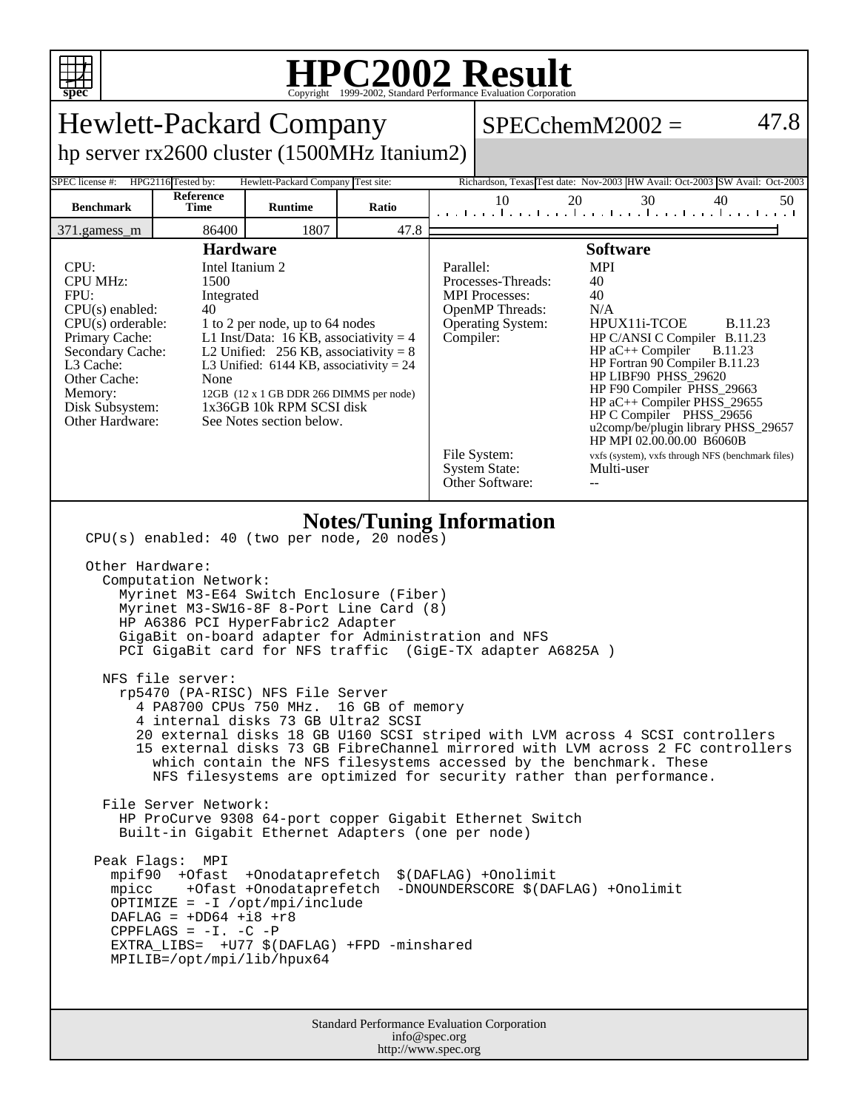

## **HPC2002 Result**

| <b>Hewlett-Packard Company</b>                                                                                                                                                                                                                                                                                                                                                                                                                                                                                                                                                                                                                                                                                                                                                                                                                                                                                                                                                                                                                                                                                                                                                                                                                                                                         |                   |                |       |                                                                                                                                                                                                                                                                                                                                                                                                                                                                                                                                                                                                                                                           | 47.8<br>$SPECchemM2002 =$ |    |    |                                                                              |
|--------------------------------------------------------------------------------------------------------------------------------------------------------------------------------------------------------------------------------------------------------------------------------------------------------------------------------------------------------------------------------------------------------------------------------------------------------------------------------------------------------------------------------------------------------------------------------------------------------------------------------------------------------------------------------------------------------------------------------------------------------------------------------------------------------------------------------------------------------------------------------------------------------------------------------------------------------------------------------------------------------------------------------------------------------------------------------------------------------------------------------------------------------------------------------------------------------------------------------------------------------------------------------------------------------|-------------------|----------------|-------|-----------------------------------------------------------------------------------------------------------------------------------------------------------------------------------------------------------------------------------------------------------------------------------------------------------------------------------------------------------------------------------------------------------------------------------------------------------------------------------------------------------------------------------------------------------------------------------------------------------------------------------------------------------|---------------------------|----|----|------------------------------------------------------------------------------|
| hp server rx2600 cluster (1500MHz Itanium2)                                                                                                                                                                                                                                                                                                                                                                                                                                                                                                                                                                                                                                                                                                                                                                                                                                                                                                                                                                                                                                                                                                                                                                                                                                                            |                   |                |       |                                                                                                                                                                                                                                                                                                                                                                                                                                                                                                                                                                                                                                                           |                           |    |    |                                                                              |
| HPG2116 Tested by:<br>Hewlett-Packard Company Test site:<br>Richardson, Texas Test date: Nov-2003 HW Avail: Oct-2003 SW Avail: Oct-2003<br>SPEC license #:                                                                                                                                                                                                                                                                                                                                                                                                                                                                                                                                                                                                                                                                                                                                                                                                                                                                                                                                                                                                                                                                                                                                             |                   |                |       |                                                                                                                                                                                                                                                                                                                                                                                                                                                                                                                                                                                                                                                           |                           |    |    |                                                                              |
| <b>Benchmark</b>                                                                                                                                                                                                                                                                                                                                                                                                                                                                                                                                                                                                                                                                                                                                                                                                                                                                                                                                                                                                                                                                                                                                                                                                                                                                                       | Reference<br>Time | <b>Runtime</b> | Ratio |                                                                                                                                                                                                                                                                                                                                                                                                                                                                                                                                                                                                                                                           | 10                        | 20 | 30 | 40<br>50<br>the continuation of constitution of constitution of constitution |
| 371.gamess_m                                                                                                                                                                                                                                                                                                                                                                                                                                                                                                                                                                                                                                                                                                                                                                                                                                                                                                                                                                                                                                                                                                                                                                                                                                                                                           | 86400             | 1807           | 47.8  |                                                                                                                                                                                                                                                                                                                                                                                                                                                                                                                                                                                                                                                           |                           |    |    |                                                                              |
| <b>Hardware</b><br>Intel Itanium 2<br>CPU:<br><b>CPU MHz:</b><br>1500<br>FPU:<br>Integrated<br>$CPU(s)$ enabled:<br>40<br>$CPU(s)$ orderable:<br>1 to 2 per node, up to 64 nodes<br>Primary Cache:<br>L1 Inst/Data: 16 KB, associativity = $4$<br>Secondary Cache:<br>L2 Unified: $256$ KB, associativity = 8<br>L3 Cache:<br>L3 Unified: $6144$ KB, associativity = 24<br>Other Cache:<br>None<br>Memory:<br>12GB (12 x 1 GB DDR 266 DIMMS per node)<br>1x36GB 10k RPM SCSI disk<br>Disk Subsystem:<br>Other Hardware:<br>See Notes section below.                                                                                                                                                                                                                                                                                                                                                                                                                                                                                                                                                                                                                                                                                                                                                    |                   |                |       | <b>Software</b><br>Parallel:<br><b>MPI</b><br>Processes-Threads:<br>40<br>40<br><b>MPI</b> Processes:<br>OpenMP Threads:<br>N/A<br>HPUX11i-TCOE<br><b>B.11.23</b><br><b>Operating System:</b><br>Compiler:<br>HP C/ANSI C Compiler B.11.23<br>$HP$ aC++ Compiler<br><b>B.11.23</b><br>HP Fortran 90 Compiler B.11.23<br>HP LIBF90 PHSS_29620<br>HP F90 Compiler PHSS_29663<br>HP aC++ Compiler PHSS_29655<br>HP C Compiler PHSS_29656<br>u2comp/be/plugin library PHSS_29657<br>HP MPI 02.00.00.00 B6060B<br>File System:<br>vxfs (system), vxfs through NFS (benchmark files)<br><b>System State:</b><br>Multi-user<br>Other Software:<br>$\overline{a}$ |                           |    |    |                                                                              |
| <b>Notes/Tuning Information</b><br>CPU(s) enabled: 40 (two per node, 20 nodes)<br>Other Hardware:<br>Computation Network:<br>Myrinet M3-E64 Switch Enclosure (Fiber)<br>Myrinet M3-SW16-8F 8-Port Line Card (8)<br>HP A6386 PCI HyperFabric2 Adapter<br>GigaBit on-board adapter for Administration and NFS<br>PCI GigaBit card for NFS traffic (GigE-TX adapter A6825A)<br>NFS file server:<br>rp5470 (PA-RISC) NFS File Server<br>4 PA8700 CPUs 750 MHz.<br>16 GB of memory<br>4 internal disks 73 GB Ultra2 SCSI<br>20 external disks 18 GB U160 SCSI striped with LVM across 4 SCSI controllers<br>15 external disks 73 GB FibreChannel mirrored with LVM across 2 FC controllers<br>which contain the NFS filesystems accessed by the benchmark. These<br>NFS filesystems are optimized for security rather than performance.<br>File Server Network:<br>HP ProCurve 9308 64-port copper Gigabit Ethernet Switch<br>Built-in Gigabit Ethernet Adapters (one per node)<br>Peak Flags: MPI<br>mpif90 +Ofast +Onodataprefetch<br>\$(DAFLAG) +Onolimit<br>mpicc +Ofast +Onodataprefetch<br>-DNOUNDERSCORE \$(DAFLAG) +Onolimit<br>$OPTIMIZE = -I /opt/mpi/include$<br>DAFLAG = $+DD64$ +i8 +r8<br>CPPFLAGS = $-I. -C$ -P<br>EXTRA_LIBS= +U77 \$(DAFLAG) +FPD -minshared<br>MPILIB=/opt/mpi/lib/hpux64 |                   |                |       |                                                                                                                                                                                                                                                                                                                                                                                                                                                                                                                                                                                                                                                           |                           |    |    |                                                                              |
| Standard Performance Evaluation Corporation                                                                                                                                                                                                                                                                                                                                                                                                                                                                                                                                                                                                                                                                                                                                                                                                                                                                                                                                                                                                                                                                                                                                                                                                                                                            |                   |                |       |                                                                                                                                                                                                                                                                                                                                                                                                                                                                                                                                                                                                                                                           |                           |    |    |                                                                              |

info@spec.org http://www.spec.org